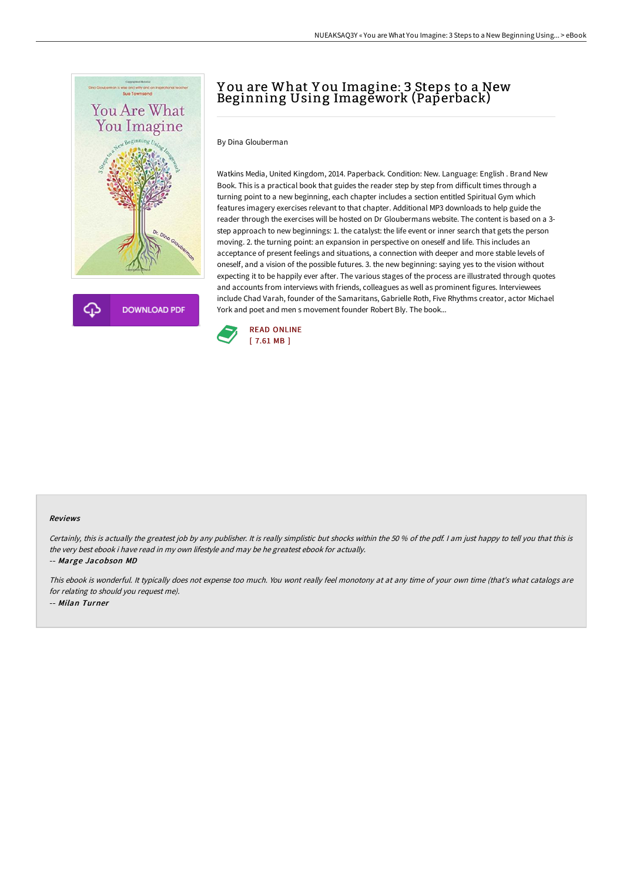



## Y ou are What Y ou Imagine: 3 Steps to a New Beginning Using Imagework (Paperback)

By Dina Glouberman

Watkins Media, United Kingdom, 2014. Paperback. Condition: New. Language: English . Brand New Book. This is a practical book that guides the reader step by step from difficult times through a turning point to a new beginning, each chapter includes a section entitled Spiritual Gym which features imagery exercises relevant to that chapter. Additional MP3 downloads to help guide the reader through the exercises will be hosted on Dr Gloubermans website. The content is based on a 3 step approach to new beginnings: 1. the catalyst: the life event or inner search that gets the person moving. 2. the turning point: an expansion in perspective on oneself and life. This includes an acceptance of present feelings and situations, a connection with deeper and more stable levels of oneself, and a vision of the possible futures. 3. the new beginning: saying yes to the vision without expecting it to be happily ever after. The various stages of the process are illustrated through quotes and accounts from interviews with friends, colleagues as well as prominent figures. Interviewees include Chad Varah, founder of the Samaritans, Gabrielle Roth, Five Rhythms creator, actor Michael York and poet and men s movement founder Robert Bly. The book...



## Reviews

Certainly, this is actually the greatest job by any publisher. It is really simplistic but shocks within the 50 % of the pdf. I am just happy to tell you that this is the very best ebook i have read in my own lifestyle and may be he greatest ebook for actually.

-- Marge Jacobson MD

This ebook is wonderful. It typically does not expense too much. You wont really feel monotony at at any time of your own time (that's what catalogs are for relating to should you request me). -- Milan Turner